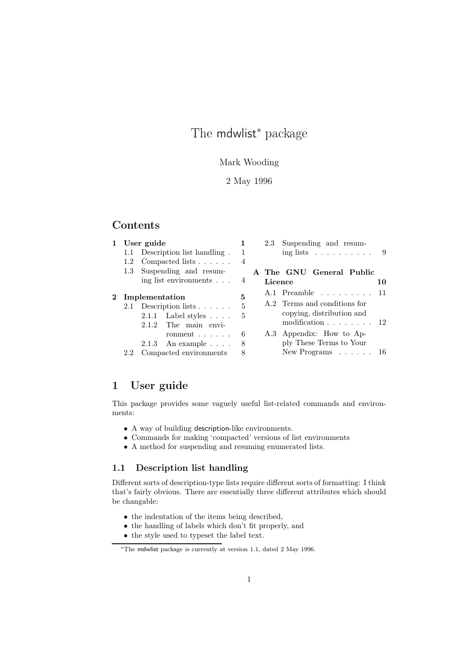# The mdwlist<sup>\*</sup> package

# Mark Wooding

# 2 May 1996

# Contents

| $\mathbf{1}$ | User guide    |                                                                                                               | 1              |         | 2.3 Suspending and resum-                                                                           |    |
|--------------|---------------|---------------------------------------------------------------------------------------------------------------|----------------|---------|-----------------------------------------------------------------------------------------------------|----|
|              |               | 1.1 Description list handling.                                                                                | 1              |         | ing lists $\ldots \ldots \ldots \ldots$ 9                                                           |    |
|              |               | 1.2 Compacted lists $\ldots$ .                                                                                | $\overline{4}$ |         |                                                                                                     |    |
|              |               | 1.3 Suspending and resum-                                                                                     |                |         | A The GNU General Public                                                                            |    |
|              |               | ing list environments                                                                                         | $\overline{4}$ | Licence |                                                                                                     | 10 |
| $2^{-}$      |               |                                                                                                               | 5              |         | $A.1$ Preamble $\ldots \ldots \ldots 11$                                                            |    |
|              |               | Implementation<br>2.1 Description lists $\ldots$ .<br>$2.1.1$ Label styles $\ldots$ .<br>2.1.2 The main envi- | 5<br>5         |         | A.2 Terms and conditions for<br>copying, distribution and<br>modification $\ldots \ldots \ldots 12$ |    |
|              |               | ronment $\ldots$<br>$2.1.3$ An example $\ldots$ .                                                             | 6<br>8         |         | A.3 Appendix: How to Ap-<br>ply These Terms to Your                                                 |    |
|              | $2.2^{\circ}$ | Compacted environments                                                                                        | 8              |         | New Programs $\ldots \ldots 16$                                                                     |    |

# 1 User guide

This package provides some vaguely useful list-related commands and environments:

- A way of building description-like environments.
- Commands for making 'compacted' versions of list environments
- A method for suspending and resuming enumerated lists.

# 1.1 Description list handling

Different sorts of description-type lists require different sorts of formatting: I think that's fairly obvious. There are essentially three different attributes which should be changable:

- the indentation of the items being described,
- the handling of labels which don't fit properly, and
- the style used to typeset the label text.

<sup>∗</sup>The mdwlist package is currently at version 1.1, dated 2 May 1996.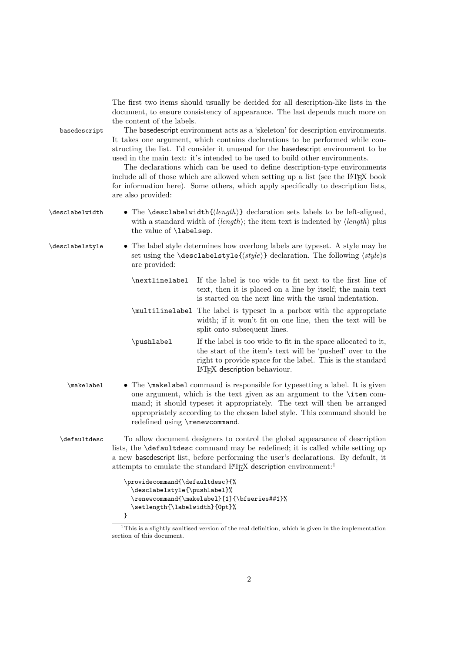| basedescript    | The first two items should usually be decided for all description-like lists in the<br>document, to ensure consistency of appearance. The last depends much more on<br>the content of the labels.<br>The based escript environment acts as a 'skeleton' for description environments.<br>It takes one argument, which contains declarations to be performed while con-<br>structing the list. I'd consider it unusual for the based escript environment to be<br>used in the main text: it's intended to be used to build other environments.<br>The declarations which can be used to define description-type environments<br>include all of those which are allowed when setting up a list (see the LAT <sub>E</sub> X book<br>for information here). Some others, which apply specifically to description lists,<br>are also provided: |                                                                                                                                                                                                                                                                                                                                                   |  |  |  |
|-----------------|-------------------------------------------------------------------------------------------------------------------------------------------------------------------------------------------------------------------------------------------------------------------------------------------------------------------------------------------------------------------------------------------------------------------------------------------------------------------------------------------------------------------------------------------------------------------------------------------------------------------------------------------------------------------------------------------------------------------------------------------------------------------------------------------------------------------------------------------|---------------------------------------------------------------------------------------------------------------------------------------------------------------------------------------------------------------------------------------------------------------------------------------------------------------------------------------------------|--|--|--|
| \desclabelwidth | • The \desclabelwidth $\{ \langle length \rangle \}$ declaration sets labels to be left-aligned,<br>with a standard width of $\langle length \rangle$ ; the item text is indented by $\langle length \rangle$ plus<br>the value of <b>\labelsep</b> .                                                                                                                                                                                                                                                                                                                                                                                                                                                                                                                                                                                     |                                                                                                                                                                                                                                                                                                                                                   |  |  |  |
| \desclabelstyle | • The label style determines how overlong labels are typeset. A style may be<br>set using the <b>\desclabelstyle{</b> $\langle style\rangle\}$ declaration. The following $\langle style\rangle\rangle$ s<br>are provided:                                                                                                                                                                                                                                                                                                                                                                                                                                                                                                                                                                                                                |                                                                                                                                                                                                                                                                                                                                                   |  |  |  |
|                 | \nextlinelabel                                                                                                                                                                                                                                                                                                                                                                                                                                                                                                                                                                                                                                                                                                                                                                                                                            | If the label is too wide to fit next to the first line of<br>text, then it is placed on a line by itself; the main text<br>is started on the next line with the usual indentation.                                                                                                                                                                |  |  |  |
|                 |                                                                                                                                                                                                                                                                                                                                                                                                                                                                                                                                                                                                                                                                                                                                                                                                                                           | \multilinelabel The label is typeset in a parbox with the appropriate<br>width; if it won't fit on one line, then the text will be<br>split onto subsequent lines.                                                                                                                                                                                |  |  |  |
|                 | \pushlabel                                                                                                                                                                                                                                                                                                                                                                                                                                                                                                                                                                                                                                                                                                                                                                                                                                | If the label is too wide to fit in the space allocated to it,<br>the start of the item's text will be 'pushed' over to the<br>right to provide space for the label. This is the standard<br>IATFX description behaviour.                                                                                                                          |  |  |  |
| \makelabel      |                                                                                                                                                                                                                                                                                                                                                                                                                                                                                                                                                                                                                                                                                                                                                                                                                                           | • The \makelabel command is responsible for typesetting a label. It is given<br>one argument, which is the text given as an argument to the \item com-<br>mand; it should typeset it appropriately. The text will then be arranged<br>appropriately according to the chosen label style. This command should be<br>redefined using \renewcommand. |  |  |  |
| \defaultdesc    | To allow document designers to control the global appearance of description<br>lists, the <b>\defaultdesc</b> command may be redefined; it is called while setting up<br>a new based escript list, before performing the user's declarations. By default, it<br>attempts to emulate the standard IATFX description environment: <sup>1</sup>                                                                                                                                                                                                                                                                                                                                                                                                                                                                                              |                                                                                                                                                                                                                                                                                                                                                   |  |  |  |
|                 | \providecommand{\defaultdesc}{%<br>\desclabelstyle{\pushlabel}%<br>\setlength{\labelwidth}{0pt}%<br>}                                                                                                                                                                                                                                                                                                                                                                                                                                                                                                                                                                                                                                                                                                                                     | \renewcommand{\makelabel}[1]{\bfseries##1}%                                                                                                                                                                                                                                                                                                       |  |  |  |

<sup>&</sup>lt;sup>1</sup>This is a slightly sanitised version of the real definition, which is given in the implementation section of this document.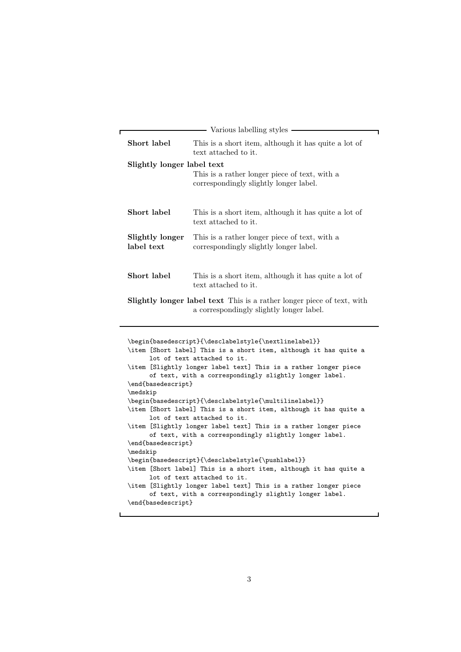| Various labelling styles                                                                                                  |                                                                                         |  |  |  |
|---------------------------------------------------------------------------------------------------------------------------|-----------------------------------------------------------------------------------------|--|--|--|
| Short label                                                                                                               | This is a short item, although it has quite a lot of<br>text attached to it.            |  |  |  |
|                                                                                                                           | Slightly longer label text                                                              |  |  |  |
|                                                                                                                           | This is a rather longer piece of text, with a<br>correspondingly slightly longer label. |  |  |  |
| Short label                                                                                                               | This is a short item, although it has quite a lot of<br>text attached to it.            |  |  |  |
| Slightly longer<br>label text                                                                                             | This is a rather longer piece of text, with a<br>correspondingly slightly longer label. |  |  |  |
| Short label                                                                                                               | This is a short item, although it has quite a lot of<br>text attached to it.            |  |  |  |
| <b>Slightly longer label text</b> This is a rather longer piece of text, with<br>a correspondingly slightly longer label. |                                                                                         |  |  |  |

```
\begin{array}{c} \texttt{[best]} \label{fig:best} \end{array}\item [Short label] This is a short item, although it has quite a
     lot of text attached to it.
\item [Slightly longer label text] This is a rather longer piece
      of text, with a correspondingly slightly longer label.
\end{basedescript}
\medskip
\begin{array}{c} \texttt{begin} \texttt{label} \end{array} \end{array}\item [Short label] This is a short item, although it has quite a
     lot of text attached to it.
\item [Slightly longer label text] This is a rather longer piece
      of text, with a correspondingly slightly longer label.
\end{basedescript}
\medskip
\begin{basedescript}{\desclabelstyle{\pushlabel}}
\item [Short label] This is a short item, although it has quite a
     lot of text attached to it.
\item [Slightly longer label text] This is a rather longer piece
     of text, with a correspondingly slightly longer label.
\end{basedescript}
```
 $\mathbf{I}$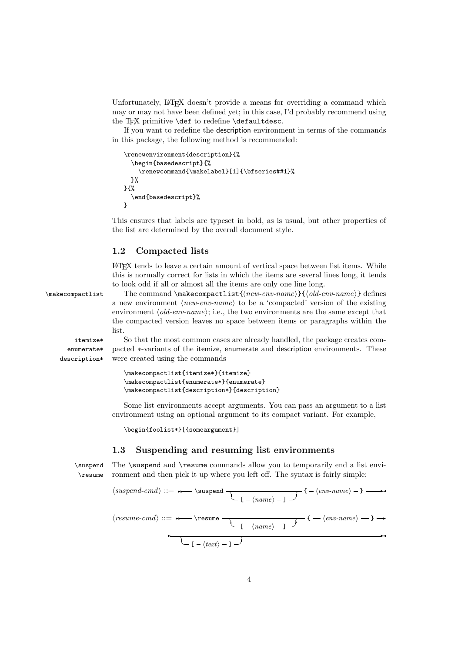Unfortunately,  $\mathbb{P}T\rightarrow X$  doesn't provide a means for overriding a command which may or may not have been defined yet; in this case, I'd probably recommend using the T<sub>F</sub>X primitive  $\det$  to redefine  $\det$ aultdesc.

If you want to redefine the description environment in terms of the commands in this package, the following method is recommended:

```
\renewenvironment{description}{%
  \begin{basedescript}{%
    \renewcommand{\makelabel}[1]{\bfseries##1}%
  }%
}{%
  \end{basedescript}%
}
```
This ensures that labels are typeset in bold, as is usual, but other properties of the list are determined by the overall document style.

# 1.2 Compacted lists

LATEX tends to leave a certain amount of vertical space between list items. While this is normally correct for lists in which the items are several lines long, it tends to look odd if all or almost all the items are only one line long.

\makecompactlist The command \makecompactlist{*new-env-name*}{*old-env-name*} defines a new environment *(new-env-name)* to be a 'compacted' version of the existing environment *(old-env-name)*; i.e., the two environments are the same except that the compacted version leaves no space between items or paragraphs within the list.

itemize\* So that the most common cases are already handled, the package creates comenumerate\* description\* pacted <sup>∗</sup>-variants of the itemize, enumerate and description environments. These were created using the commands

```
\makecompactlist{itemize*}{itemize}
\makecompactlist{enumerate*}{enumerate}
\makecompactlist{description*}{description}
```
Some list environments accept arguments. You can pass an argument to a list environment using an optional argument to its compact variant. For example,

\begin{foolist\*}[{someargument}]

# 1.3 Suspending and resuming list environments

\suspend The \suspend and \resume commands allow you to temporarily end a list envi- \resume ronment and then pick it up where you left off. The syntax is fairly simple:

*suspend-cmd* ::=✲✲ \suspend ☎ ✝ [ *name* ] ✆ ✞ { *env-name* } ✲✛ *resume-cmd* ::=✲✲ \resume ☎ ✝ [ *name* ] ✆ ✞ { *env-name* } ✲ ✲ ☎ ✞ ✲✛

 $\setminus$  [ -  $\langle text \rangle$  - ]  $\rightarrow$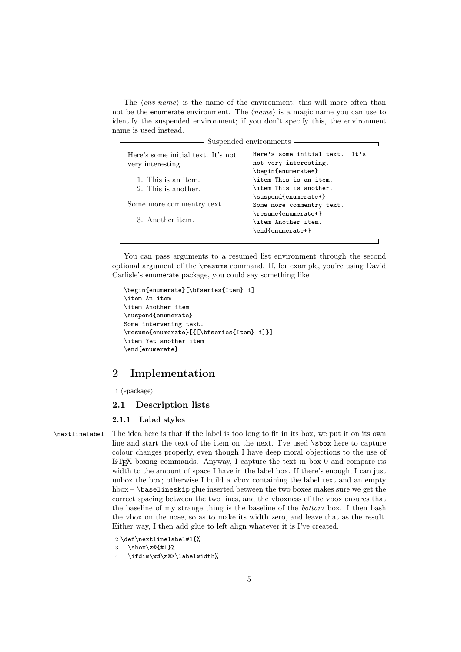The  $\langle env\text{-}name\rangle$  is the name of the environment; this will more often than not be the enumerate environment. The *(name)* is a magic name you can use to identify the suspended environment; if you don't specify this, the environment name is used instead.

| Suspended environments                                  |                                                                                  |  |  |  |  |
|---------------------------------------------------------|----------------------------------------------------------------------------------|--|--|--|--|
| Here's some initial text. It's not<br>very interesting. | Here's some initial text.<br>It's<br>not very interesting.<br>\begin{enumerate*} |  |  |  |  |
| 1. This is an item.                                     | \item This is an item.                                                           |  |  |  |  |
| 2. This is another.                                     | \item This is another.<br>\suspend{enumerate*}                                   |  |  |  |  |
| Some more commentry text.                               | Some more commentry text.<br>\resume{enumerate*}                                 |  |  |  |  |
| 3. Another item.                                        | \item Another item.<br>\end{enumerate*}                                          |  |  |  |  |

You can pass arguments to a resumed list environment through the second optional argument of the \resume command. If, for example, you're using David Carlisle's enumerate package, you could say something like

```
\begin{enumerate}[\bfseries{Item} i]
\item An item
\item Another item
\suspend{enumerate}
Some intervening text.
\resume{enumerate}[{[\bfseries{Item} i]}]
\item Yet another item
\end{enumerate}
```
# 2 Implementation

 $1 \langle * \text{package} \rangle$ 

## 2.1 Description lists

## 2.1.1 Label styles

\nextlinelabel The idea here is that if the label is too long to fit in its box, we put it on its own line and start the text of the item on the next. I've used \sbox here to capture colour changes properly, even though I have deep moral objections to the use of  $L^2T$ <sub>EX</sub> boxing commands. Anyway, I capture the text in box 0 and compare its width to the amount of space I have in the label box. If there's enough, I can just unbox the box; otherwise I build a vbox containing the label text and an empty hbox  $-\lambda$  baselineskip glue inserted between the two boxes makes sure we get the correct spacing between the two lines, and the vboxness of the vbox ensures that the baseline of my strange thing is the baseline of the *bottom* box. I then bash the vbox on the nose, so as to make its width zero, and leave that as the result. Either way, I then add glue to left align whatever it is I've created.

```
2 \def\nextlinelabel#1{%
```
- $3 \ \text{sbox}z@{#1}$ %
- 4 \ifdim\wd\z@>\labelwidth%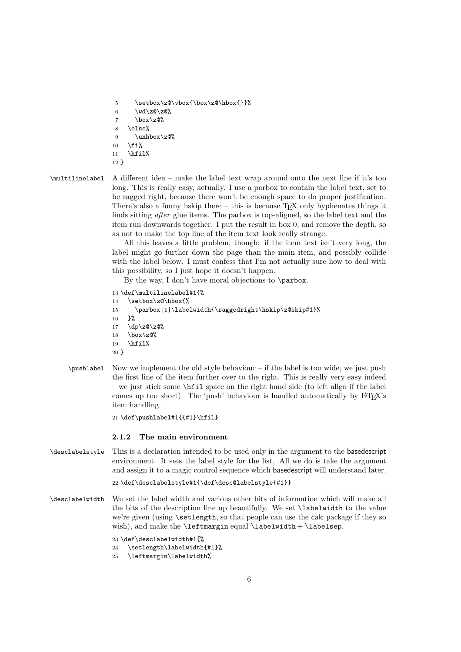5 \setbox\z@\vbox{\box\z@\hbox{}}%

- $6 \text{Vol }Z@\zeta@$
- 7 \box\z $\mathcal{Q}'$
- 8 \else%
- 9  $\unhbox\zeta\$

```
10 \fi%
```
- $11$  \hfil%
- 12 }

\multilinelabel A different idea – make the label text wrap around onto the next line if it's too long. This is really easy, actually. I use a parbox to contain the label text, set to be ragged right, because there won't be enough space to do proper justification. There's also a funny hskip there – this is because  $T_{\rm F}X$  only hyphenates things it finds sitting *after* glue items. The parbox is top-aligned, so the label text and the item run downwards together. I put the result in box 0, and remove the depth, so as not to make the top line of the item text look really strange.

> All this leaves a little problem, though: if the item text isn't very long, the label might go further down the page than the main item, and possibly collide with the label below. I must confess that I'm not actually sure how to deal with this possibility, so I just hope it doesn't happen.

By the way, I don't have moral objections to \parbox.

```
13 \def\multilinelabel#1{%
14 \setbox\z@\hbox{%
15 \parbox[t]\labelwidth{\raggedright\hskip\z@skip#1}%
16 }%
17 \text{ d}p\zeta\overline{q}\zeta\overline{q}18 \text{box} \text{20\%}19 \hfil%
20 }
```
\pushlabel Now we implement the old style behaviour – if the label is too wide, we just push the first line of the item further over to the right. This is really very easy indeed – we just stick some  $\hbar i$  space on the right hand side (to left align if the label comes up too short). The 'push' behaviour is handled automatically by LATEX's item handling.

21 \def\pushlabel#1{{#1}\hfil}

## 2.1.2 The main environment

\desclabelstyle This is a declaration intended to be used only in the argument to the basedescript environment. It sets the label style for the list. All we do is take the argument and assign it to a magic control sequence which basedescript will understand later.

```
22 \def\desclabelstyle#1{\def\desc@labelstyle{#1}}
```
\desclabelwidth We set the label width and various other bits of information which will make all the bits of the description line up beautifully. We set \labelwidth to the value we're given (using \setlength, so that people can use the calc package if they so wish), and make the  $\left\{ \$ 

23 \def\desclabelwidth#1{%

24 \setlength\labelwidth{#1}%

25 \leftmargin\labelwidth%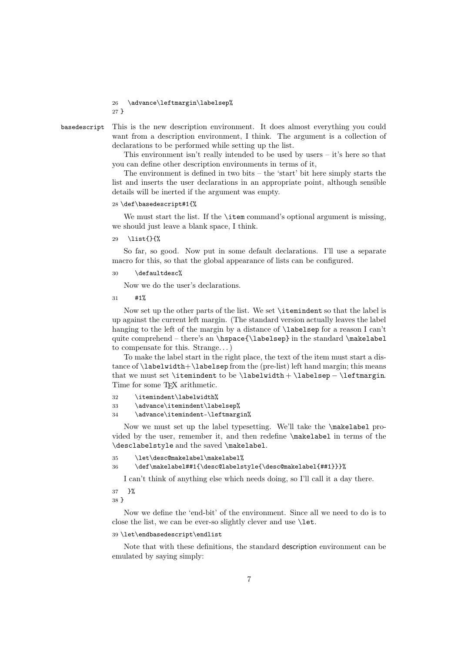26 \advance\leftmargin\labelsep% 27 }

basedescript This is the new description environment. It does almost everything you could want from a description environment, I think. The argument is a collection of declarations to be performed while setting up the list.

> This environment isn't really intended to be used by users – it's here so that you can define other description environments in terms of it,

> The environment is defined in two bits – the 'start' bit here simply starts the list and inserts the user declarations in an appropriate point, although sensible details will be inerted if the argument was empty.

#### 28 \def\basedescript#1{%

We must start the list. If the **\item** command's optional argument is missing, we should just leave a blank space, I think.

29 \list{}{%

So far, so good. Now put in some default declarations. I'll use a separate macro for this, so that the global appearance of lists can be configured.

30 \defaultdesc%

Now we do the user's declarations.

31 #1%

Now set up the other parts of the list. We set \itemindent so that the label is up against the current left margin. (The standard version actually leaves the label hanging to the left of the margin by a distance of **\labelsep** for a reason I can't quite comprehend – there's an  $\hbox{\scriptsize\bf}$  in the standard  $\mathtt{backelabel}$ to compensate for this. Strange. . . )

To make the label start in the right place, the text of the item must start a distance of \labelwidth+\labelsep from the (pre-list) left hand margin; this means that we must set \itemindent to be \labelwidth + \labelsep − \leftmargin. Time for some TEX arithmetic.

32 \itemindent\labelwidth%

```
33 \advance\itemindent\labelsep%
```
34 \advance\itemindent-\leftmargin%

Now we must set up the label typesetting. We'll take the \makelabel provided by the user, remember it, and then redefine \makelabel in terms of the \desclabelstyle and the saved \makelabel.

```
35 \let\desc@makelabel\makelabel%
```

```
36 \def\makelabel##1{\desc@labelstyle{\desc@makelabel{##1}}}%
```
I can't think of anything else which needs doing, so I'll call it a day there.

37 }% 38 }

Now we define the 'end-bit' of the environment. Since all we need to do is to close the list, we can be ever-so slightly clever and use **\let.** 

#### 39 \let\endbasedescript\endlist

Note that with these definitions, the standard description environment can be emulated by saying simply: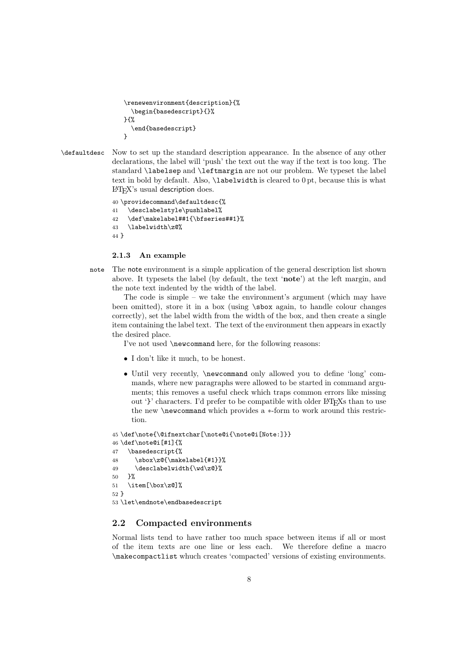```
\renewenvironment{description}{%
  \begin{basedescript}{}%
}{%
  \end{basedescript}
}
```
\defaultdesc Now to set up the standard description appearance. In the absence of any other declarations, the label will 'push' the text out the way if the text is too long. The standard \labelsep and \leftmargin are not our problem. We typeset the label text in bold by default. Also, \labelwidth is cleared to 0 pt, because this is what <sup>L</sup>ATEX's usual description does.

```
40 \providecommand\defaultdesc{%
41 \desclabelstyle\pushlabel%
42 \def\makelabel##1{\bfseries##1}%
43 \labelwidth\z@%
44 }
```
#### 2.1.3 An example

note The note environment is a simple application of the general description list shown above. It typesets the label (by default, the text 'note') at the left margin, and the note text indented by the width of the label.

The code is simple – we take the environment's argument (which may have been omitted), store it in a box (using \sbox again, to handle colour changes correctly), set the label width from the width of the box, and then create a single item containing the label text. The text of the environment then appears in exactly the desired place.

I've not used \newcommand here, for the following reasons:

- I don't like it much, to be honest.
- Until very recently, \newcommand only allowed you to define 'long' commands, where new paragraphs were allowed to be started in command arguments; this removes a useful check which traps common errors like missing out '}' characters. I'd prefer to be compatible with older LATEXs than to use the new \newcommand which provides a ∗-form to work around this restriction.

```
45 \def\note{\@ifnextchar[\note@i{\note@i[Note:]}}
46 \def\note@i[#1]{%
47 \basedescript{%
48 \sbox\z@{\makelabel{#1}}%
49 \desclabelwidth{\wd\z@}%
50 }%
51 \item[\box\z@]%
52 }
```
53 \let\endnote\endbasedescript

# 2.2 Compacted environments

Normal lists tend to have rather too much space between items if all or most of the item texts are one line or less each. We therefore define a macro \makecompactlist whuch creates 'compacted' versions of existing environments.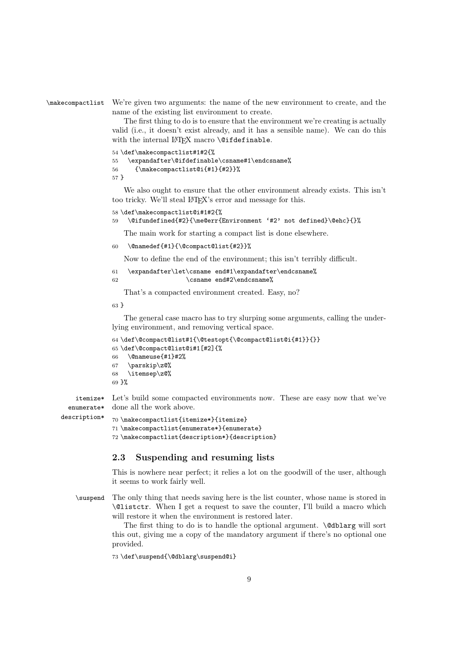```
\makecompactlist We're given two arguments: the name of the new environment to create, and the
                  name of the existing list environment to create.
```
The first thing to do is to ensure that the environment we're creating is actually valid (i.e., it doesn't exist already, and it has a sensible name). We can do this with the internal LATEX macro \@ifdefinable.

54 \def\makecompactlist#1#2{%

```
55 \expandafter\@ifdefinable\csname#1\endcsname%
56 {\makecompactlist@i{#1}{#2}}%
57 }
```
We also ought to ensure that the other environment already exists. This isn't too tricky. We'll steal LAT<sub>EX</sub>'s error and message for this.

```
58 \def\makecompactlist@i#1#2{%
```

```
59 \@ifundefined{#2}{\me@err{Environment '#2' not defined}\@ehc}{}%
```
The main work for starting a compact list is done elsewhere.

```
60 \@namedef{#1}{\@compact@list{#2}}%
```
Now to define the end of the environment; this isn't terribly difficult.

```
61 \expandafter\let\csname end#1\expandafter\endcsname%
62 \csname end#2\endcsname%
```
That's a compacted environment created. Easy, no?

63 }

The general case macro has to try slurping some arguments, calling the underlying environment, and removing vertical space.

```
64 \def\@compact@list#1{\@testopt{\@compact@list@i{#1}}{}}
65 \def\@compact@list@i#1[#2]{%
66 \@nameuse{#1}#2%
67 \parskip\z@%
68 \itemsep\z@%
69 }%
```
itemize\* enumerate\* Let's build some compacted environments now. These are easy now that we've done all the work above.

description\*

```
70 \makecompactlist{itemize*}{itemize}
71 \makecompactlist{enumerate*}{enumerate}
72 \makecompactlist{description*}{description}
```
# 2.3 Suspending and resuming lists

This is nowhere near perfect; it relies a lot on the goodwill of the user, although it seems to work fairly well.

\suspend The only thing that needs saving here is the list counter, whose name is stored in \@listctr. When I get a request to save the counter, I'll build a macro which will restore it when the environment is restored later.

> The first thing to do is to handle the optional argument.  $\&$  dblarg will sort this out, giving me a copy of the mandatory argument if there's no optional one provided.

73 \def\suspend{\@dblarg\suspend@i}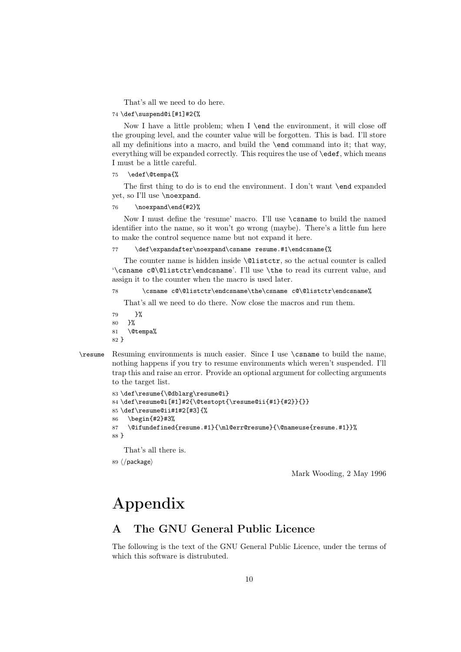That's all we need to do here.

#### 74 \def\suspend@i[#1]#2{%

Now I have a little problem; when I \end the environment, it will close off the grouping level, and the counter value will be forgotten. This is bad. I'll store all my definitions into a macro, and build the \end command into it; that way, everything will be expanded correctly. This requires the use of  $\cdot$  edef, which means I must be a little careful.

#### 75 \edef\@tempa{%

The first thing to do is to end the environment. I don't want \end expanded yet, so I'll use \noexpand.

### 76 \noexpand\end{#2}%

Now I must define the 'resume' macro. I'll use \csname to build the named identifier into the name, so it won't go wrong (maybe). There's a little fun here to make the control sequence name but not expand it here.

77 \def\expandafter\noexpand\csname resume.#1\endcsname{%

The counter name is hidden inside \@listctr, so the actual counter is called '\csname c@\@listctr\endcsname'. I'll use \the to read its current value, and assign it to the counter when the macro is used later.

#### 78 \csname c@\@listctr\endcsname\the\csname c@\@listctr\endcsname%

That's all we need to do there. Now close the macros and run them.

79 }% 80 }% 81 \@tempa% 82 }

\resume Resuming environments is much easier. Since I use \csname to build the name, nothing happens if you try to resume environments which weren't suspended. I'll trap this and raise an error. Provide an optional argument for collecting arguments to the target list.

```
83 \def\resume{\@dblarg\resume@i}
84 \def\resume@i[#1]#2{\@testopt{\resume@ii{#1}{#2}}{}}
85 \def\resume@ii#1#2[#3]{%
86 \begin{#2}#3%
87 \@ifundefined{resume.#1}{\ml@err@resume}{\@nameuse{resume.#1}}%
88 }
```
That's all there is.

89  $\langle$ /package $\rangle$ 

Mark Wooding, 2 May 1996

# Appendix

# A The GNU General Public Licence

The following is the text of the GNU General Public Licence, under the terms of which this software is distrubuted.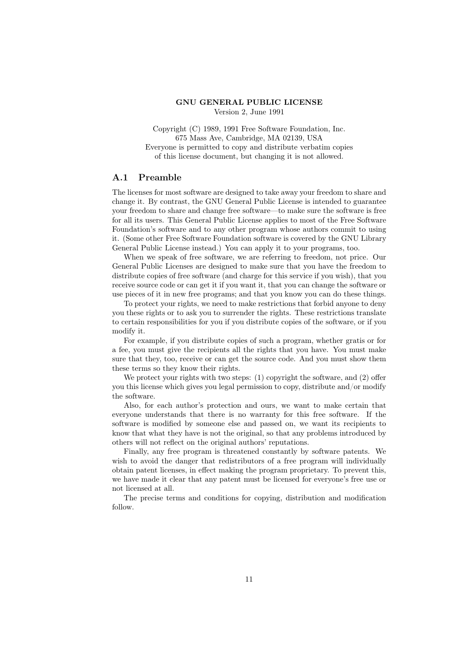#### GNU GENERAL PUBLIC LICENSE Version 2, June 1991

Copyright (C) 1989, 1991 Free Software Foundation, Inc. 675 Mass Ave, Cambridge, MA 02139, USA Everyone is permitted to copy and distribute verbatim copies of this license document, but changing it is not allowed.

# A.1 Preamble

The licenses for most software are designed to take away your freedom to share and change it. By contrast, the GNU General Public License is intended to guarantee your freedom to share and change free software—to make sure the software is free for all its users. This General Public License applies to most of the Free Software Foundation's software and to any other program whose authors commit to using it. (Some other Free Software Foundation software is covered by the GNU Library General Public License instead.) You can apply it to your programs, too.

When we speak of free software, we are referring to freedom, not price. Our General Public Licenses are designed to make sure that you have the freedom to distribute copies of free software (and charge for this service if you wish), that you receive source code or can get it if you want it, that you can change the software or use pieces of it in new free programs; and that you know you can do these things.

To protect your rights, we need to make restrictions that forbid anyone to deny you these rights or to ask you to surrender the rights. These restrictions translate to certain responsibilities for you if you distribute copies of the software, or if you modify it.

For example, if you distribute copies of such a program, whether gratis or for a fee, you must give the recipients all the rights that you have. You must make sure that they, too, receive or can get the source code. And you must show them these terms so they know their rights.

We protect your rights with two steps: (1) copyright the software, and (2) offer you this license which gives you legal permission to copy, distribute and/or modify the software.

Also, for each author's protection and ours, we want to make certain that everyone understands that there is no warranty for this free software. If the software is modified by someone else and passed on, we want its recipients to know that what they have is not the original, so that any problems introduced by others will not reflect on the original authors' reputations.

Finally, any free program is threatened constantly by software patents. We wish to avoid the danger that redistributors of a free program will individually obtain patent licenses, in effect making the program proprietary. To prevent this, we have made it clear that any patent must be licensed for everyone's free use or not licensed at all.

The precise terms and conditions for copying, distribution and modification follow.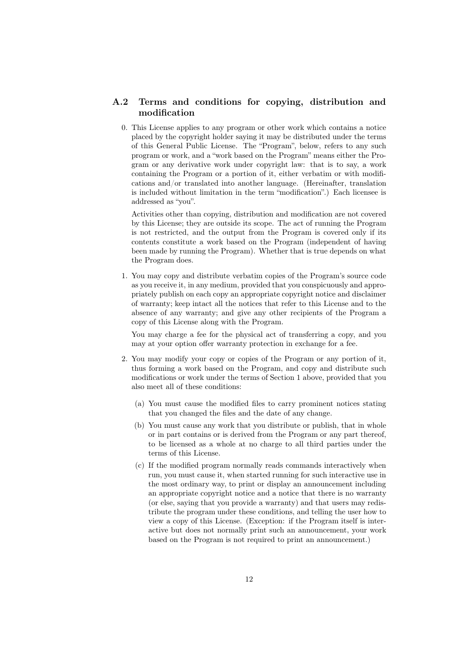# A.2 Terms and conditions for copying, distribution and modification

0. This License applies to any program or other work which contains a notice placed by the copyright holder saying it may be distributed under the terms of this General Public License. The "Program", below, refers to any such program or work, and a "work based on the Program" means either the Program or any derivative work under copyright law: that is to say, a work containing the Program or a portion of it, either verbatim or with modifications and/or translated into another language. (Hereinafter, translation is included without limitation in the term "modification".) Each licensee is addressed as "you".

Activities other than copying, distribution and modification are not covered by this License; they are outside its scope. The act of running the Program is not restricted, and the output from the Program is covered only if its contents constitute a work based on the Program (independent of having been made by running the Program). Whether that is true depends on what the Program does.

1. You may copy and distribute verbatim copies of the Program's source code as you receive it, in any medium, provided that you conspicuously and appropriately publish on each copy an appropriate copyright notice and disclaimer of warranty; keep intact all the notices that refer to this License and to the absence of any warranty; and give any other recipients of the Program a copy of this License along with the Program.

You may charge a fee for the physical act of transferring a copy, and you may at your option offer warranty protection in exchange for a fee.

- 2. You may modify your copy or copies of the Program or any portion of it, thus forming a work based on the Program, and copy and distribute such modifications or work under the terms of Section 1 above, provided that you also meet all of these conditions:
	- (a) You must cause the modified files to carry prominent notices stating that you changed the files and the date of any change.
	- (b) You must cause any work that you distribute or publish, that in whole or in part contains or is derived from the Program or any part thereof, to be licensed as a whole at no charge to all third parties under the terms of this License.
	- (c) If the modified program normally reads commands interactively when run, you must cause it, when started running for such interactive use in the most ordinary way, to print or display an announcement including an appropriate copyright notice and a notice that there is no warranty (or else, saying that you provide a warranty) and that users may redistribute the program under these conditions, and telling the user how to view a copy of this License. (Exception: if the Program itself is interactive but does not normally print such an announcement, your work based on the Program is not required to print an announcement.)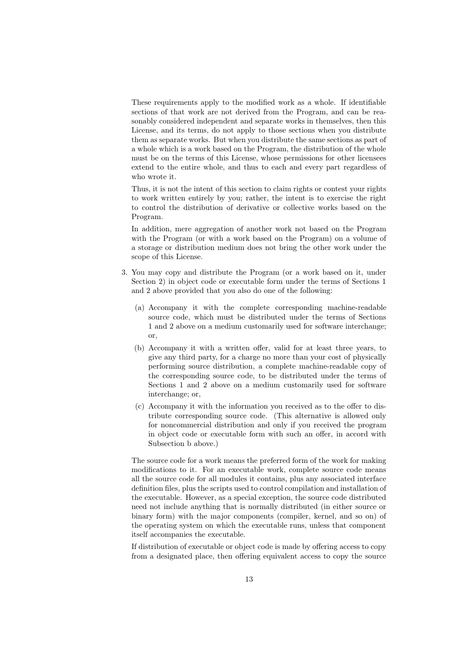These requirements apply to the modified work as a whole. If identifiable sections of that work are not derived from the Program, and can be reasonably considered independent and separate works in themselves, then this License, and its terms, do not apply to those sections when you distribute them as separate works. But when you distribute the same sections as part of a whole which is a work based on the Program, the distribution of the whole must be on the terms of this License, whose permissions for other licensees extend to the entire whole, and thus to each and every part regardless of who wrote it.

Thus, it is not the intent of this section to claim rights or contest your rights to work written entirely by you; rather, the intent is to exercise the right to control the distribution of derivative or collective works based on the Program.

In addition, mere aggregation of another work not based on the Program with the Program (or with a work based on the Program) on a volume of a storage or distribution medium does not bring the other work under the scope of this License.

- 3. You may copy and distribute the Program (or a work based on it, under Section 2) in object code or executable form under the terms of Sections 1 and 2 above provided that you also do one of the following:
	- (a) Accompany it with the complete corresponding machine-readable source code, which must be distributed under the terms of Sections 1 and 2 above on a medium customarily used for software interchange; or,
	- (b) Accompany it with a written offer, valid for at least three years, to give any third party, for a charge no more than your cost of physically performing source distribution, a complete machine-readable copy of the corresponding source code, to be distributed under the terms of Sections 1 and 2 above on a medium customarily used for software interchange; or,
	- (c) Accompany it with the information you received as to the offer to distribute corresponding source code. (This alternative is allowed only for noncommercial distribution and only if you received the program in object code or executable form with such an offer, in accord with Subsection b above.)

The source code for a work means the preferred form of the work for making modifications to it. For an executable work, complete source code means all the source code for all modules it contains, plus any associated interface definition files, plus the scripts used to control compilation and installation of the executable. However, as a special exception, the source code distributed need not include anything that is normally distributed (in either source or binary form) with the major components (compiler, kernel, and so on) of the operating system on which the executable runs, unless that component itself accompanies the executable.

If distribution of executable or object code is made by offering access to copy from a designated place, then offering equivalent access to copy the source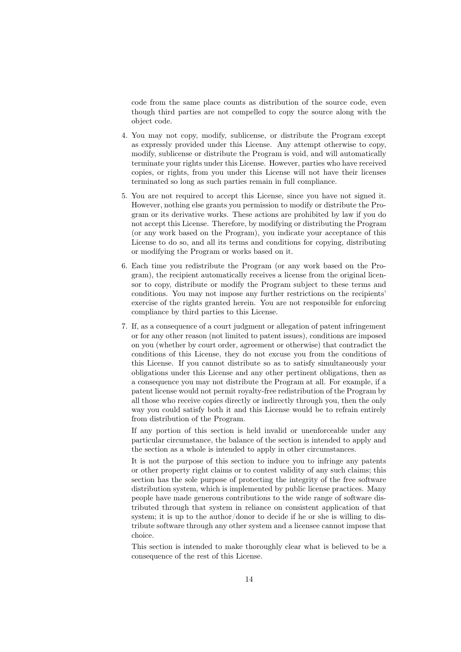code from the same place counts as distribution of the source code, even though third parties are not compelled to copy the source along with the object code.

- 4. You may not copy, modify, sublicense, or distribute the Program except as expressly provided under this License. Any attempt otherwise to copy, modify, sublicense or distribute the Program is void, and will automatically terminate your rights under this License. However, parties who have received copies, or rights, from you under this License will not have their licenses terminated so long as such parties remain in full compliance.
- 5. You are not required to accept this License, since you have not signed it. However, nothing else grants you permission to modify or distribute the Program or its derivative works. These actions are prohibited by law if you do not accept this License. Therefore, by modifying or distributing the Program (or any work based on the Program), you indicate your acceptance of this License to do so, and all its terms and conditions for copying, distributing or modifying the Program or works based on it.
- 6. Each time you redistribute the Program (or any work based on the Program), the recipient automatically receives a license from the original licensor to copy, distribute or modify the Program subject to these terms and conditions. You may not impose any further restrictions on the recipients' exercise of the rights granted herein. You are not responsible for enforcing compliance by third parties to this License.
- 7. If, as a consequence of a court judgment or allegation of patent infringement or for any other reason (not limited to patent issues), conditions are imposed on you (whether by court order, agreement or otherwise) that contradict the conditions of this License, they do not excuse you from the conditions of this License. If you cannot distribute so as to satisfy simultaneously your obligations under this License and any other pertinent obligations, then as a consequence you may not distribute the Program at all. For example, if a patent license would not permit royalty-free redistribution of the Program by all those who receive copies directly or indirectly through you, then the only way you could satisfy both it and this License would be to refrain entirely from distribution of the Program.

If any portion of this section is held invalid or unenforceable under any particular circumstance, the balance of the section is intended to apply and the section as a whole is intended to apply in other circumstances.

It is not the purpose of this section to induce you to infringe any patents or other property right claims or to contest validity of any such claims; this section has the sole purpose of protecting the integrity of the free software distribution system, which is implemented by public license practices. Many people have made generous contributions to the wide range of software distributed through that system in reliance on consistent application of that system; it is up to the author/donor to decide if he or she is willing to distribute software through any other system and a licensee cannot impose that choice.

This section is intended to make thoroughly clear what is believed to be a consequence of the rest of this License.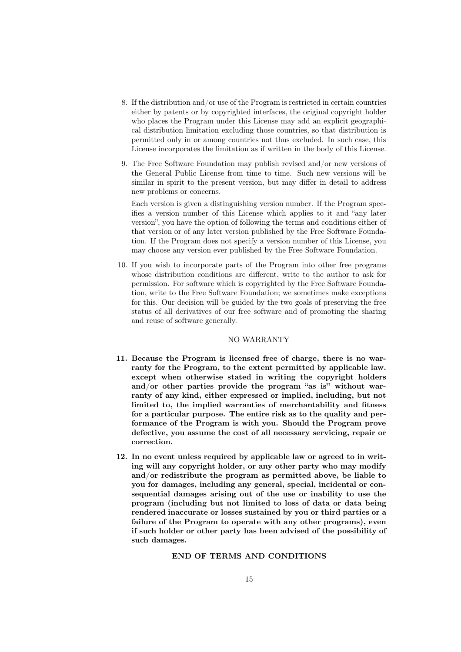- 8. If the distribution and/or use of the Program is restricted in certain countries either by patents or by copyrighted interfaces, the original copyright holder who places the Program under this License may add an explicit geographical distribution limitation excluding those countries, so that distribution is permitted only in or among countries not thus excluded. In such case, this License incorporates the limitation as if written in the body of this License.
- 9. The Free Software Foundation may publish revised and/or new versions of the General Public License from time to time. Such new versions will be similar in spirit to the present version, but may differ in detail to address new problems or concerns.

Each version is given a distinguishing version number. If the Program specifies a version number of this License which applies to it and "any later version", you have the option of following the terms and conditions either of that version or of any later version published by the Free Software Foundation. If the Program does not specify a version number of this License, you may choose any version ever published by the Free Software Foundation.

10. If you wish to incorporate parts of the Program into other free programs whose distribution conditions are different, write to the author to ask for permission. For software which is copyrighted by the Free Software Foundation, write to the Free Software Foundation; we sometimes make exceptions for this. Our decision will be guided by the two goals of preserving the free status of all derivatives of our free software and of promoting the sharing and reuse of software generally.

#### NO WARRANTY

- 11. Because the Program is licensed free of charge, there is no warranty for the Program, to the extent permitted by applicable law. except when otherwise stated in writing the copyright holders and/or other parties provide the program "as is" without warranty of any kind, either expressed or implied, including, but not limited to, the implied warranties of merchantability and fitness for a particular purpose. The entire risk as to the quality and performance of the Program is with you. Should the Program prove defective, you assume the cost of all necessary servicing, repair or correction.
- 12. In no event unless required by applicable law or agreed to in writing will any copyright holder, or any other party who may modify and/or redistribute the program as permitted above, be liable to you for damages, including any general, special, incidental or consequential damages arising out of the use or inability to use the program (including but not limited to loss of data or data being rendered inaccurate or losses sustained by you or third parties or a failure of the Program to operate with any other programs), even if such holder or other party has been advised of the possibility of such damages.

# END OF TERMS AND CONDITIONS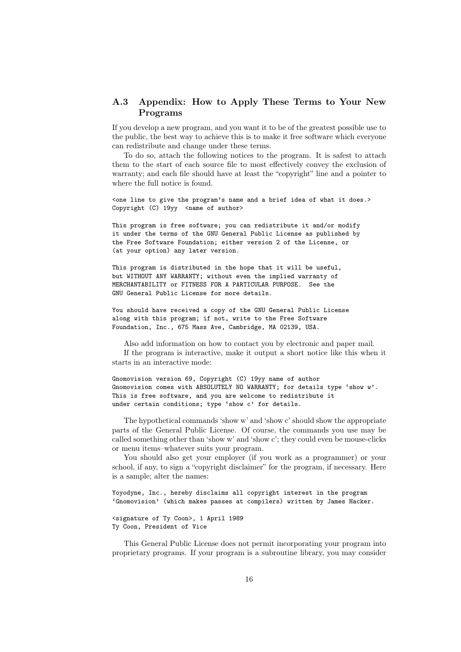# A.3 Appendix: How to Apply These Terms to Your New Programs

If you develop a new program, and you want it to be of the greatest possible use to the public, the best way to achieve this is to make it free software which everyone can redistribute and change under these terms.

To do so, attach the following notices to the program. It is safest to attach them to the start of each source file to most effectively convey the exclusion of warranty; and each file should have at least the "copyright" line and a pointer to where the full notice is found.

<one line to give the program's name and a brief idea of what it does.> Copyright (C) 19yy <name of author>

This program is free software; you can redistribute it and/or modify it under the terms of the GNU General Public License as published by the Free Software Foundation; either version 2 of the License, or (at your option) any later version.

This program is distributed in the hope that it will be useful, but WITHOUT ANY WARRANTY; without even the implied warranty of MERCHANTABILITY or FITNESS FOR A PARTICULAR PURPOSE. See the GNU General Public License for more details.

You should have received a copy of the GNU General Public License along with this program; if not, write to the Free Software Foundation, Inc., 675 Mass Ave, Cambridge, MA 02139, USA.

Also add information on how to contact you by electronic and paper mail. If the program is interactive, make it output a short notice like this when it starts in an interactive mode:

Gnomovision version 69, Copyright (C) 19yy name of author Gnomovision comes with ABSOLUTELY NO WARRANTY; for details type 'show w'. This is free software, and you are welcome to redistribute it under certain conditions; type 'show c' for details.

The hypothetical commands 'show w' and 'show c' should show the appropriate parts of the General Public License. Of course, the commands you use may be called something other than 'show w' and 'show c'; they could even be mouse-clicks or menu items–whatever suits your program.

You should also get your employer (if you work as a programmer) or your school, if any, to sign a "copyright disclaimer" for the program, if necessary. Here is a sample; alter the names:

Yoyodyne, Inc., hereby disclaims all copyright interest in the program 'Gnomovision' (which makes passes at compilers) written by James Hacker.

<signature of Ty Coon>, 1 April 1989 Ty Coon, President of Vice

This General Public License does not permit incorporating your program into proprietary programs. If your program is a subroutine library, you may consider